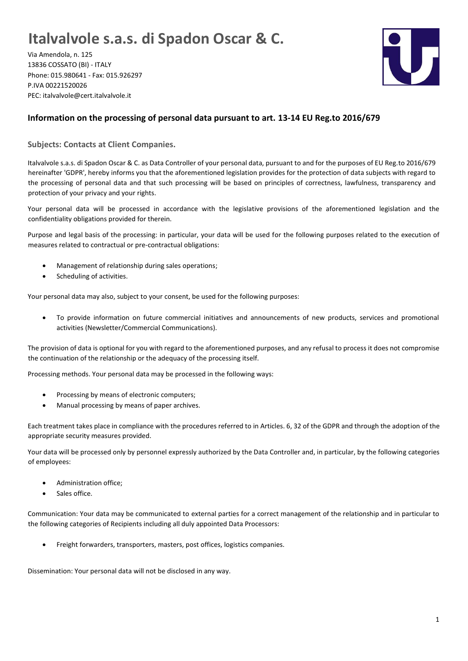## **Italvalvole s.a.s. di Spadon Oscar & C.**

Via Amendola, n. 125 13836 COSSATO (BI) - ITALY Phone: 015.980641 - Fax: 015.926297 P.IVA 00221520026 PEC: italvalvole@cert.italvalvole.it



## **Information on the processing of personal data pursuant to art. 13-14 EU Reg.to 2016/679**

**Subjects: Contacts at Client Companies.**

Italvalvole s.a.s. di Spadon Oscar & C. as Data Controller of your personal data, pursuant to and for the purposes of EU Reg.to 2016/679 hereinafter 'GDPR', hereby informs you that the aforementioned legislation provides for the protection of data subjects with regard to the processing of personal data and that such processing will be based on principles of correctness, lawfulness, transparency and protection of your privacy and your rights.

Your personal data will be processed in accordance with the legislative provisions of the aforementioned legislation and the confidentiality obligations provided for therein.

Purpose and legal basis of the processing: in particular, your data will be used for the following purposes related to the execution of measures related to contractual or pre-contractual obligations:

- Management of relationship during sales operations;
- Scheduling of activities.

Your personal data may also, subject to your consent, be used for the following purposes:

• To provide information on future commercial initiatives and announcements of new products, services and promotional activities (Newsletter/Commercial Communications).

The provision of data is optional for you with regard to the aforementioned purposes, and any refusal to process it does not compromise the continuation of the relationship or the adequacy of the processing itself.

Processing methods. Your personal data may be processed in the following ways:

- Processing by means of electronic computers;
- Manual processing by means of paper archives.

Each treatment takes place in compliance with the procedures referred to in Articles. 6, 32 of the GDPR and through the adoption of the appropriate security measures provided.

Your data will be processed only by personnel expressly authorized by the Data Controller and, in particular, by the following categories of employees:

- Administration office;
- Sales office.

Communication: Your data may be communicated to external parties for a correct management of the relationship and in particular to the following categories of Recipients including all duly appointed Data Processors:

• Freight forwarders, transporters, masters, post offices, logistics companies.

Dissemination: Your personal data will not be disclosed in any way.